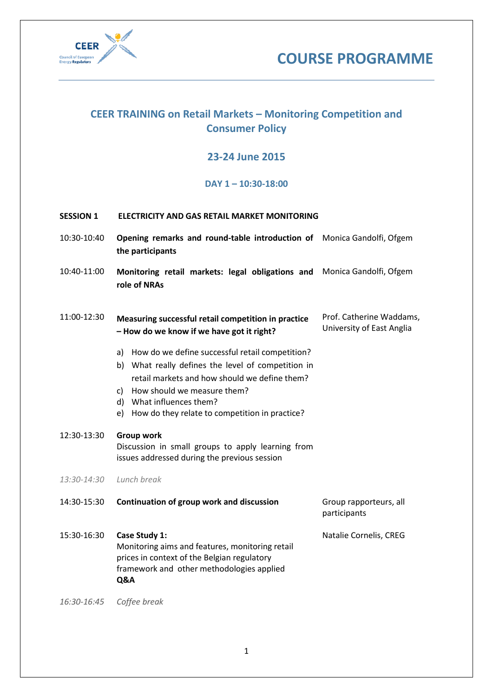



# **CEER TRAINING on Retail Markets – Monitoring Competition and Consumer Policy**

## **23-24 June 2015**

## **DAY 1 – 10:30-18:00**

### **SESSION 1 ELECTRICITY AND GAS RETAIL MARKET MONITORING**

- 10:30-10:40 **Opening remarks and round-table introduction of**  Monica Gandolfi, Ofgem **the participants**
- 10:40-11:00 **Monitoring retail markets: legal obligations and** Monica Gandolfi, Ofgem **role of NRAs**

#### 11:00-12:30 **Measuring successful retail competition in practice – How do we know if we have got it right?**  Prof. Catherine Waddams, University of East Anglia

- a) How do we define successful retail competition?
- b) What really defines the level of competition in retail markets and how should we define them?
- c) How should we measure them?
- d) What influences them?
- e) How do they relate to competition in practice?

12:30-13:30 **Group work** Discussion in small groups to apply learning from issues addressed during the previous session

*13:30-14:30 Lunch break*

| 14:30-15:30 | Continuation of group work and discussion | Group rapporteurs, all |
|-------------|-------------------------------------------|------------------------|
|             |                                           | participants           |

15:30-16:30 **Case Study 1:**  Monitoring aims and features, monitoring retail prices in context of the Belgian regulatory framework and other methodologies applied **Q&A** Natalie Cornelis, CREG

*16:30-16:45 Coffee break*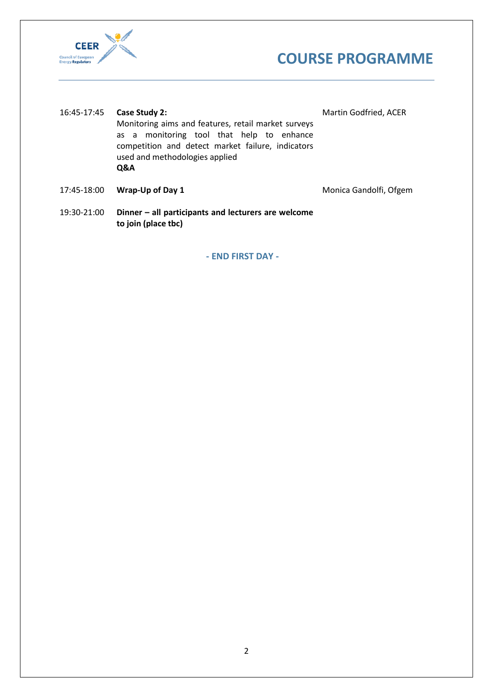



| 16:45-17:45 | Case Study 2:<br>Monitoring aims and features, retail market surveys<br>as a monitoring tool that help to enhance<br>competition and detect market failure, indicators<br>used and methodologies applied<br><b>Q&amp;A</b> | Martin Godfried, ACER |
|-------------|----------------------------------------------------------------------------------------------------------------------------------------------------------------------------------------------------------------------------|-----------------------|
|             |                                                                                                                                                                                                                            |                       |

17:45-18:00 **Wrap-Up of Day 1** Monica Gandolfi, Ofgem

19:30-21:00 **Dinner – all participants and lecturers are welcome to join (place tbc)**

**- END FIRST DAY -**